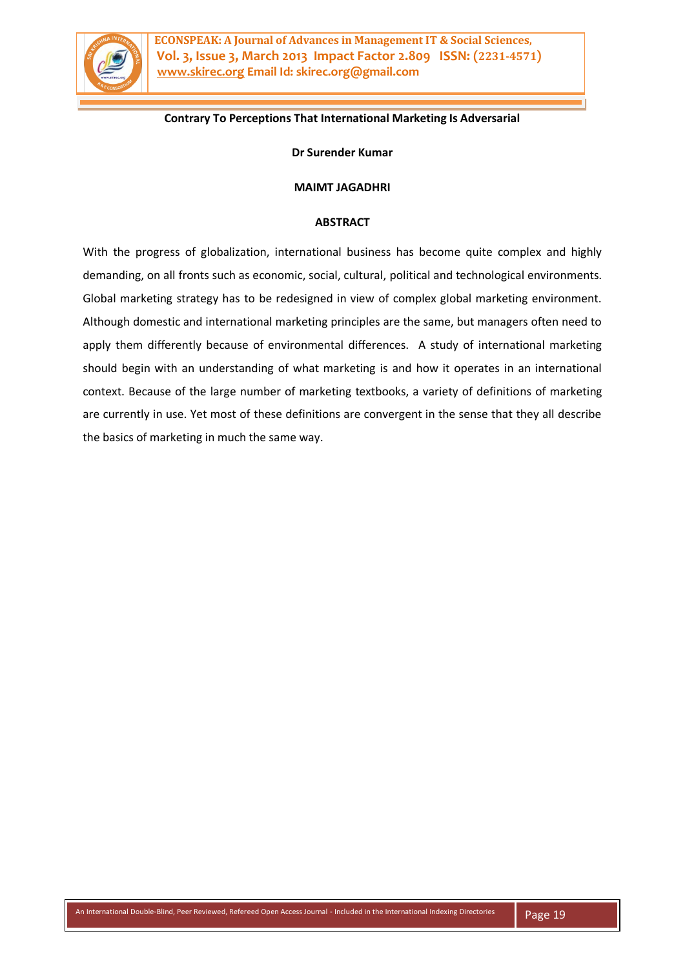

**ECONSPEAK: A Journal of Advances in Management IT & Social Sciences, Vol. 3, Issue 3, March 2013 Impact Factor 2.809 ISSN: (2231-4571) www.skirec.org Email Id: skirec.org@gmail.com**

# **Contrary To Perceptions That International Marketing Is Adversarial**

**Dr Surender Kumar**

#### **MAIMT JAGADHRI**

#### **ABSTRACT**

With the progress of globalization, international business has become quite complex and highly demanding, on all fronts such as economic, social, cultural, political and technological environments. Global marketing strategy has to be redesigned in view of complex global marketing environment. Although domestic and international marketing principles are the same, but managers often need to apply them differently because of environmental differences. A study of international marketing should begin with an understanding of what marketing is and how it operates in an international context. Because of the large number of marketing textbooks, a variety of definitions of marketing are currently in use. Yet most of these definitions are convergent in the sense that they all describe the basics of marketing in much the same way.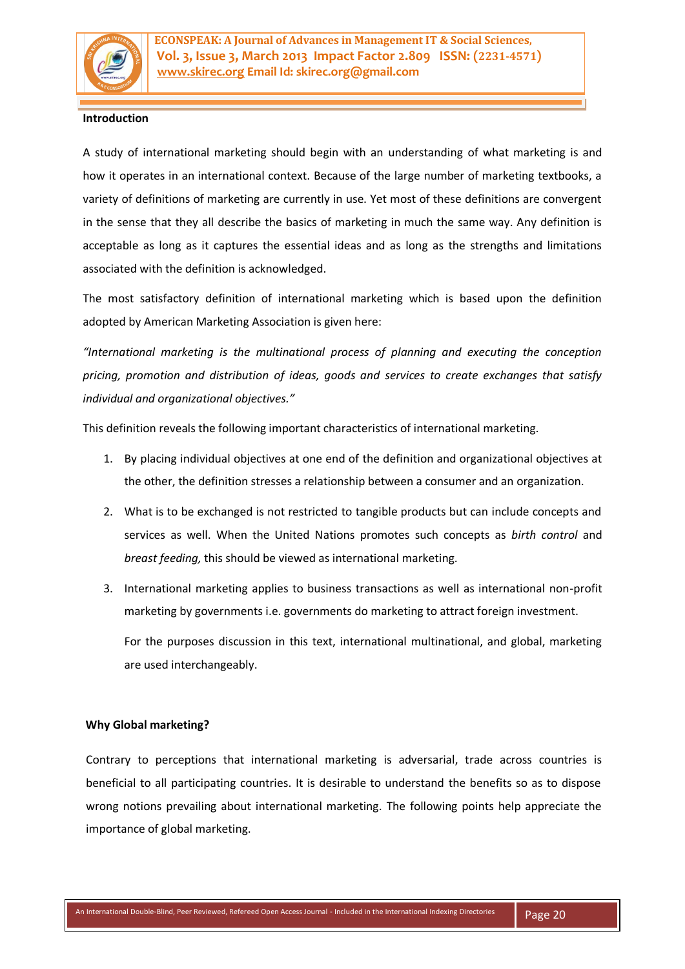

# **Introduction**

A study of international marketing should begin with an understanding of what marketing is and how it operates in an international context. Because of the large number of marketing textbooks, a variety of definitions of marketing are currently in use. Yet most of these definitions are convergent in the sense that they all describe the basics of marketing in much the same way. Any definition is acceptable as long as it captures the essential ideas and as long as the strengths and limitations associated with the definition is acknowledged.

The most satisfactory definition of international marketing which is based upon the definition adopted by American Marketing Association is given here:

*"International marketing is the multinational process of planning and executing the conception pricing, promotion and distribution of ideas, goods and services to create exchanges that satisfy individual and organizational objectives."*

This definition reveals the following important characteristics of international marketing.

- 1. By placing individual objectives at one end of the definition and organizational objectives at the other, the definition stresses a relationship between a consumer and an organization.
- 2. What is to be exchanged is not restricted to tangible products but can include concepts and services as well. When the United Nations promotes such concepts as *birth control* and *breast feeding,* this should be viewed as international marketing.
- 3. International marketing applies to business transactions as well as international non-profit marketing by governments i.e. governments do marketing to attract foreign investment.

For the purposes discussion in this text, international multinational, and global, marketing are used interchangeably.

### **Why Global marketing?**

Contrary to perceptions that international marketing is adversarial, trade across countries is beneficial to all participating countries. It is desirable to understand the benefits so as to dispose wrong notions prevailing about international marketing. The following points help appreciate the importance of global marketing.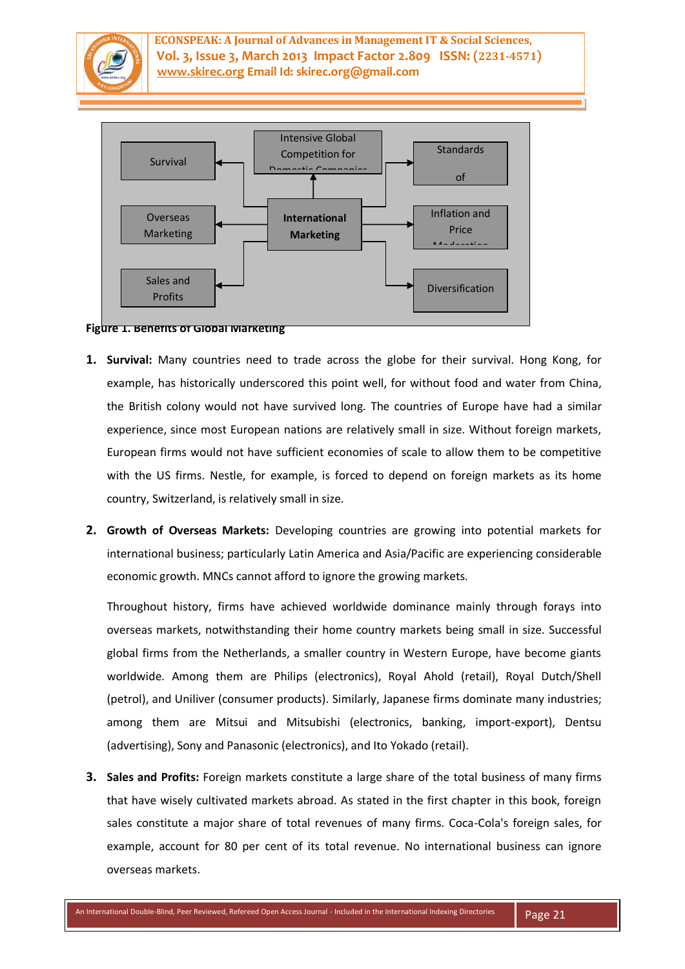

**ECONSPEAK: A Journal of Advances in Management IT & Social Sciences, Vol. 3, Issue 3, March 2013 Impact Factor 2.809 ISSN: (2231-4571) www.skirec.org Email Id: skirec.org@gmail.com**



**Figure 1. Benefits of Global Marketing**

- **1. Survival:** Many countries need to trade across the globe for their survival. Hong Kong, for example, has historically underscored this point well, for without food and water from China, the British colony would not have survived long. The countries of Europe have had a similar experience, since most European nations are relatively small in size. Without foreign markets, European firms would not have sufficient economies of scale to allow them to be competitive with the US firms. Nestle, for example, is forced to depend on foreign markets as its home country, Switzerland, is relatively small in size.
- **2. Growth of Overseas Markets:** Developing countries are growing into potential markets for international business; particularly Latin America and Asia/Pacific are experiencing considerable economic growth. MNCs cannot afford to ignore the growing markets.

Throughout history, firms have achieved worldwide dominance mainly through forays into overseas markets, notwithstanding their home country markets being small in size. Successful global firms from the Netherlands, a smaller country in Western Europe, have become giants worldwide. Among them are Philips (electronics), Royal Ahold (retail), Royal Dutch/Shell (petrol), and Uniliver (consumer products). Similarly, Japanese firms dominate many industries; among them are Mitsui and Mitsubishi (electronics, banking, import-export), Dentsu (advertising), Sony and Panasonic (electronics), and Ito Yokado (retail).

**3. Sales and Profits:** Foreign markets constitute a large share of the total business of many firms that have wisely cultivated markets abroad. As stated in the first chapter in this book, foreign sales constitute a major share of total revenues of many firms. Coca-Cola's foreign sales, for example, account for 80 per cent of its total revenue. No international business can ignore overseas markets.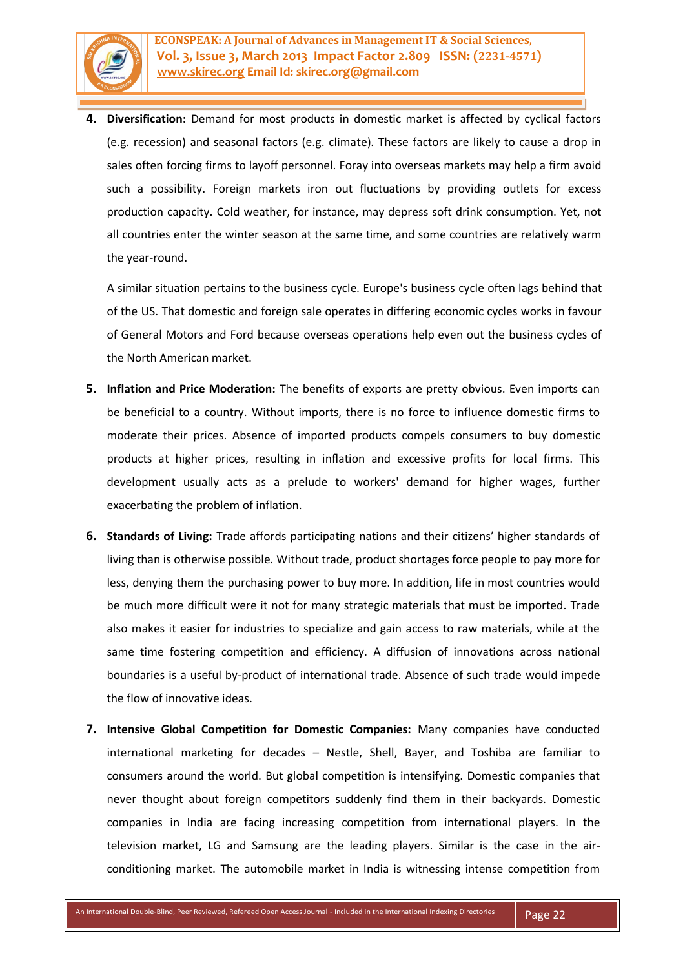

**4. Diversification:** Demand for most products in domestic market is affected by cyclical factors (e.g. recession) and seasonal factors (e.g. climate). These factors are likely to cause a drop in sales often forcing firms to layoff personnel. Foray into overseas markets may help a firm avoid such a possibility. Foreign markets iron out fluctuations by providing outlets for excess production capacity. Cold weather, for instance, may depress soft drink consumption. Yet, not all countries enter the winter season at the same time, and some countries are relatively warm the year-round.

A similar situation pertains to the business cycle. Europe's business cycle often lags behind that of the US. That domestic and foreign sale operates in differing economic cycles works in favour of General Motors and Ford because overseas operations help even out the business cycles of the North American market.

- **5. Inflation and Price Moderation:** The benefits of exports are pretty obvious. Even imports can be beneficial to a country. Without imports, there is no force to influence domestic firms to moderate their prices. Absence of imported products compels consumers to buy domestic products at higher prices, resulting in inflation and excessive profits for local firms. This development usually acts as a prelude to workers' demand for higher wages, further exacerbating the problem of inflation.
- **6. Standards of Living:** Trade affords participating nations and their citizens' higher standards of living than is otherwise possible. Without trade, product shortages force people to pay more for less, denying them the purchasing power to buy more. In addition, life in most countries would be much more difficult were it not for many strategic materials that must be imported. Trade also makes it easier for industries to specialize and gain access to raw materials, while at the same time fostering competition and efficiency. A diffusion of innovations across national boundaries is a useful by-product of international trade. Absence of such trade would impede the flow of innovative ideas.
- **7. Intensive Global Competition for Domestic Companies:** Many companies have conducted international marketing for decades – Nestle, Shell, Bayer, and Toshiba are familiar to consumers around the world. But global competition is intensifying. Domestic companies that never thought about foreign competitors suddenly find them in their backyards. Domestic companies in India are facing increasing competition from international players. In the television market, LG and Samsung are the leading players. Similar is the case in the airconditioning market. The automobile market in India is witnessing intense competition from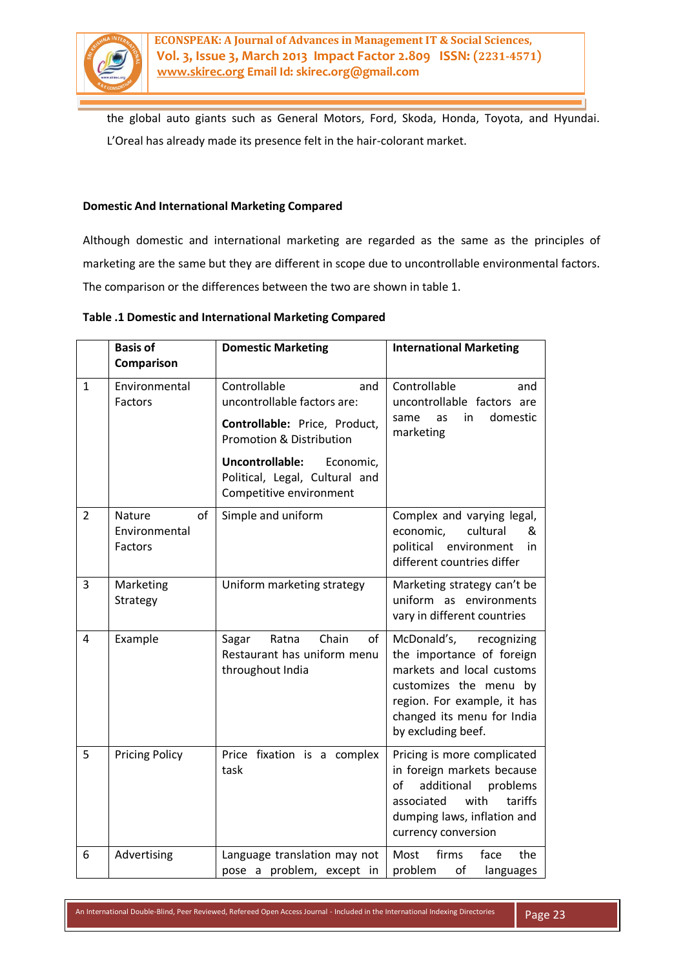

the global auto giants such as General Motors, Ford, Skoda, Honda, Toyota, and Hyundai. L'Oreal has already made its presence felt in the hair-colorant market.

# **Domestic And International Marketing Compared**

Although domestic and international marketing are regarded as the same as the principles of marketing are the same but they are different in scope due to uncontrollable environmental factors. The comparison or the differences between the two are shown in table 1.

### **Table .1 Domestic and International Marketing Compared**

|                | <b>Basis of</b>                          | <b>Domestic Marketing</b>                                                                                                                                                                                               | <b>International Marketing</b>                                                                                                                                                                    |
|----------------|------------------------------------------|-------------------------------------------------------------------------------------------------------------------------------------------------------------------------------------------------------------------------|---------------------------------------------------------------------------------------------------------------------------------------------------------------------------------------------------|
|                | Comparison                               |                                                                                                                                                                                                                         |                                                                                                                                                                                                   |
| $\mathbf{1}$   | Environmental<br>Factors                 | Controllable<br>and<br>uncontrollable factors are:<br>Controllable: Price, Product,<br><b>Promotion &amp; Distribution</b><br>Uncontrollable:<br>Economic,<br>Political, Legal, Cultural and<br>Competitive environment | Controllable<br>and<br>uncontrollable factors are<br>in<br>domestic<br>same<br>as<br>marketing                                                                                                    |
| $\overline{2}$ | of<br>Nature<br>Environmental<br>Factors | Simple and uniform                                                                                                                                                                                                      | Complex and varying legal,<br>economic,<br>cultural<br>&<br>political environment<br>in<br>different countries differ                                                                             |
| 3              | Marketing<br>Strategy                    | Uniform marketing strategy                                                                                                                                                                                              | Marketing strategy can't be<br>uniform as environments<br>vary in different countries                                                                                                             |
| $\overline{4}$ | Example                                  | Chain<br>Ratna<br>of<br>Sagar<br>Restaurant has uniform menu<br>throughout India                                                                                                                                        | McDonald's,<br>recognizing<br>the importance of foreign<br>markets and local customs<br>customizes the menu by<br>region. For example, it has<br>changed its menu for India<br>by excluding beef. |
| 5              | <b>Pricing Policy</b>                    | Price fixation is a complex<br>task                                                                                                                                                                                     | Pricing is more complicated<br>in foreign markets because<br>of<br>additional<br>problems<br>associated<br>with<br>tariffs<br>dumping laws, inflation and<br>currency conversion                  |
| 6              | Advertising                              | Language translation may not<br>pose a problem, except in                                                                                                                                                               | Most<br>firms<br>face<br>the<br>problem<br>of<br>languages                                                                                                                                        |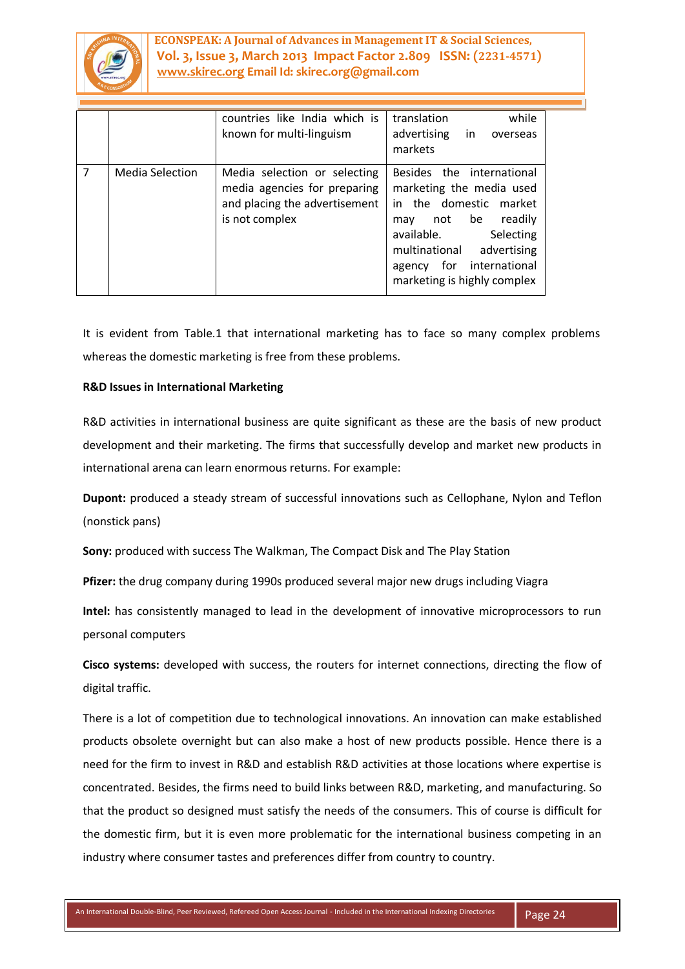

**ECONSPEAK: A Journal of Advances in Management IT & Social Sciences, Vol. 3, Issue 3, March 2013 Impact Factor 2.809 ISSN: (2231-4571) www.skirec.org Email Id: skirec.org@gmail.com**

|                |                        | countries like India which is<br>known for multi-linguism                                                       | while<br>translation<br>advertising in<br>overseas<br>markets                                                                                                                                                                     |
|----------------|------------------------|-----------------------------------------------------------------------------------------------------------------|-----------------------------------------------------------------------------------------------------------------------------------------------------------------------------------------------------------------------------------|
| $\overline{7}$ | <b>Media Selection</b> | Media selection or selecting<br>media agencies for preparing<br>and placing the advertisement<br>is not complex | Besides the international<br>marketing the media used<br>in the domestic market<br>readily<br>not be<br>may<br>available.<br>Selecting<br>multinational<br>advertising<br>agency for international<br>marketing is highly complex |

It is evident from Table.1 that international marketing has to face so many complex problems whereas the domestic marketing is free from these problems.

# **R&D Issues in International Marketing**

R&D activities in international business are quite significant as these are the basis of new product development and their marketing. The firms that successfully develop and market new products in international arena can learn enormous returns. For example:

**Dupont:** produced a steady stream of successful innovations such as Cellophane, Nylon and Teflon (nonstick pans)

**Sony:** produced with success The Walkman, The Compact Disk and The Play Station

**Pfizer:** the drug company during 1990s produced several major new drugs including Viagra

**Intel:** has consistently managed to lead in the development of innovative microprocessors to run personal computers

**Cisco systems:** developed with success, the routers for internet connections, directing the flow of digital traffic.

There is a lot of competition due to technological innovations. An innovation can make established products obsolete overnight but can also make a host of new products possible. Hence there is a need for the firm to invest in R&D and establish R&D activities at those locations where expertise is concentrated. Besides, the firms need to build links between R&D, marketing, and manufacturing. So that the product so designed must satisfy the needs of the consumers. This of course is difficult for the domestic firm, but it is even more problematic for the international business competing in an industry where consumer tastes and preferences differ from country to country.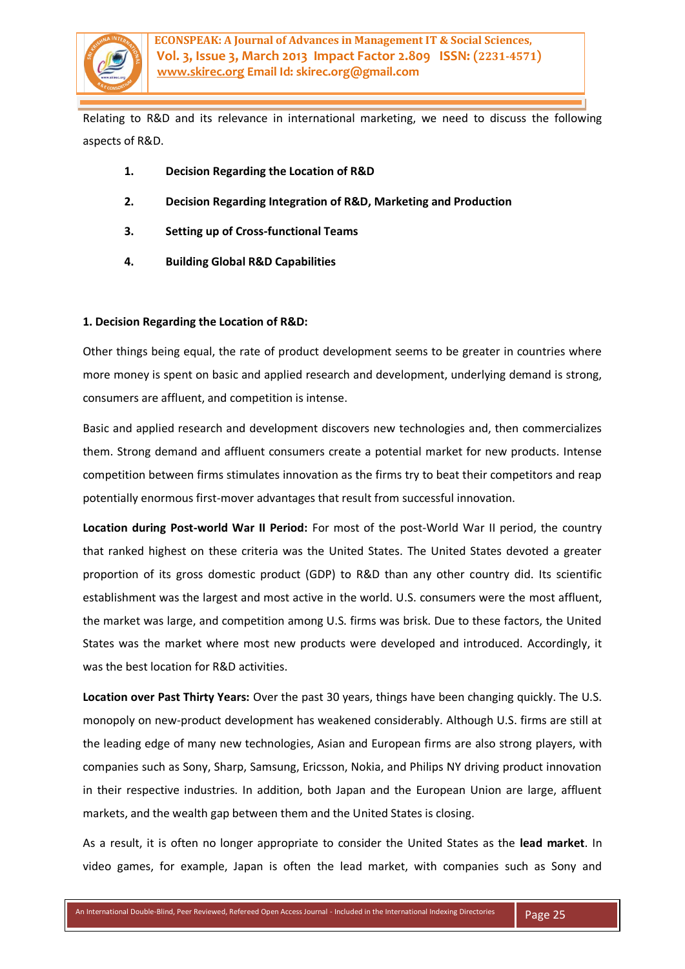

Relating to R&D and its relevance in international marketing, we need to discuss the following aspects of R&D.

- **1. Decision Regarding the Location of R&D**
- **2. Decision Regarding Integration of R&D, Marketing and Production**
- **3. Setting up of Cross-functional Teams**
- **4. Building Global R&D Capabilities**

### **1. Decision Regarding the Location of R&D:**

Other things being equal, the rate of product development seems to be greater in countries where more money is spent on basic and applied research and development, underlying demand is strong, consumers are affluent, and competition is intense.

Basic and applied research and development discovers new technologies and, then commercializes them. Strong demand and affluent consumers create a potential market for new products. Intense competition between firms stimulates innovation as the firms try to beat their competitors and reap potentially enormous first-mover advantages that result from successful innovation.

**Location during Post-world War II Period:** For most of the post-World War II period, the country that ranked highest on these criteria was the United States. The United States devoted a greater proportion of its gross domestic product (GDP) to R&D than any other country did. Its scientific establishment was the largest and most active in the world. U.S. consumers were the most affluent, the market was large, and competition among U.S. firms was brisk. Due to these factors, the United States was the market where most new products were developed and introduced. Accordingly, it was the best location for R&D activities.

**Location over Past Thirty Years:** Over the past 30 years, things have been changing quickly. The U.S. monopoly on new-product development has weakened considerably. Although U.S. firms are still at the leading edge of many new technologies, Asian and European firms are also strong players, with companies such as Sony, Sharp, Samsung, Ericsson, Nokia, and Philips NY driving product innovation in their respective industries. In addition, both Japan and the European Union are large, affluent markets, and the wealth gap between them and the United States is closing.

As a result, it is often no longer appropriate to consider the United States as the **lead market**. In video games, for example, Japan is often the lead market, with companies such as Sony and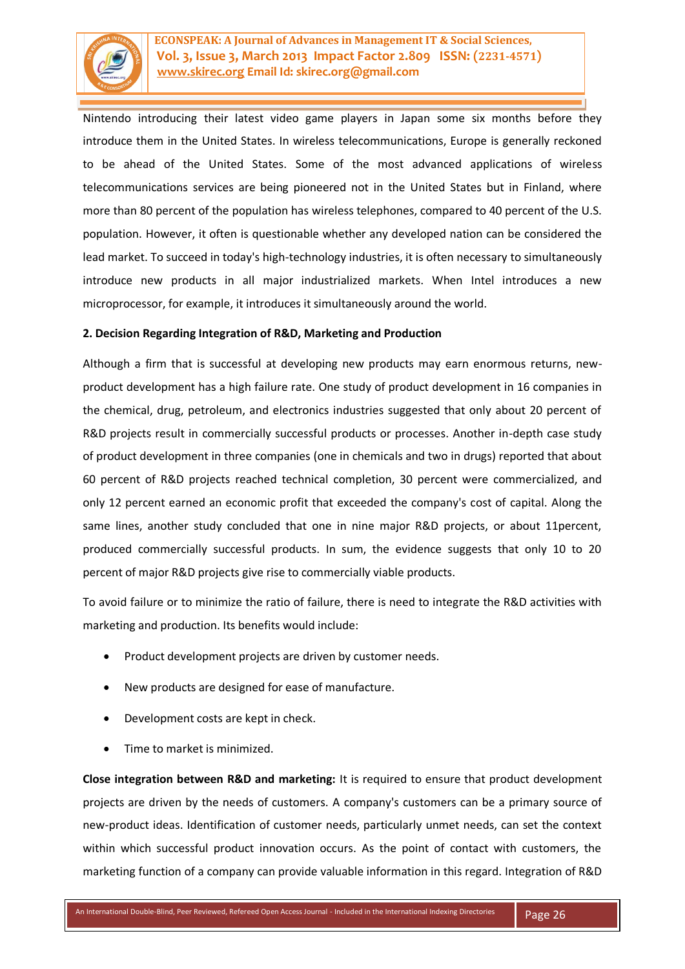

Nintendo introducing their latest video game players in Japan some six months before they introduce them in the United States. In wireless telecommunications, Europe is generally reckoned to be ahead of the United States. Some of the most advanced applications of wireless telecommunications services are being pioneered not in the United States but in Finland, where more than 80 percent of the population has wireless telephones, compared to 40 percent of the U.S. population. However, it often is questionable whether any developed nation can be considered the lead market. To succeed in today's high-technology industries, it is often necessary to simultaneously introduce new products in all major industrialized markets. When Intel introduces a new microprocessor, for example, it introduces it simultaneously around the world.

### **2. Decision Regarding Integration of R&D, Marketing and Production**

Although a firm that is successful at developing new products may earn enormous returns, newproduct development has a high failure rate. One study of product development in 16 companies in the chemical, drug, petroleum, and electronics industries suggested that only about 20 percent of R&D projects result in commercially successful products or processes. Another in-depth case study of product development in three companies (one in chemicals and two in drugs) reported that about 60 percent of R&D projects reached technical completion, 30 percent were commercialized, and only 12 percent earned an economic profit that exceeded the company's cost of capital. Along the same lines, another study concluded that one in nine major R&D projects, or about 11percent, produced commercially successful products. In sum, the evidence suggests that only 10 to 20 percent of major R&D projects give rise to commercially viable products.

To avoid failure or to minimize the ratio of failure, there is need to integrate the R&D activities with marketing and production. Its benefits would include:

- Product development projects are driven by customer needs.
- New products are designed for ease of manufacture.
- Development costs are kept in check.
- Time to market is minimized.

**Close integration between R&D and marketing:** It is required to ensure that product development projects are driven by the needs of customers. A company's customers can be a primary source of new-product ideas. Identification of customer needs, particularly unmet needs, can set the context within which successful product innovation occurs. As the point of contact with customers, the marketing function of a company can provide valuable information in this regard. Integration of R&D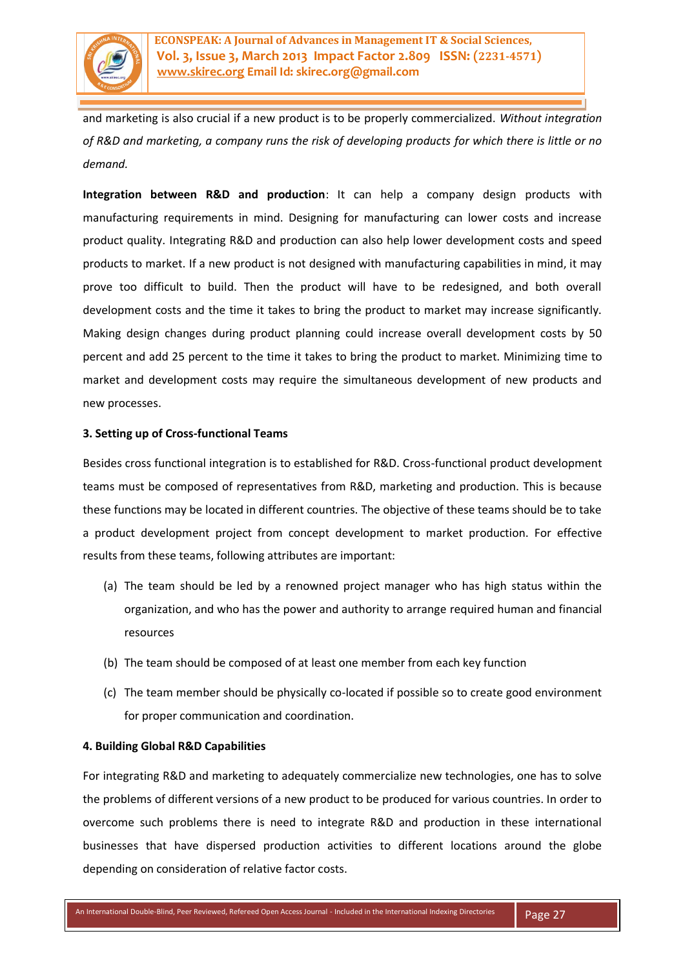

and marketing is also crucial if a new product is to be properly commercialized. *Without integration of R&D and marketing, a company runs the risk of developing products for which there is little or no demand.* 

**Integration between R&D and production**: It can help a company design products with manufacturing requirements in mind. Designing for manufacturing can lower costs and increase product quality. Integrating R&D and production can also help lower development costs and speed products to market. If a new product is not designed with manufacturing capabilities in mind, it may prove too difficult to build. Then the product will have to be redesigned, and both overall development costs and the time it takes to bring the product to market may increase significantly. Making design changes during product planning could increase overall development costs by 50 percent and add 25 percent to the time it takes to bring the product to market. Minimizing time to market and development costs may require the simultaneous development of new products and new processes.

### **3. Setting up of Cross-functional Teams**

Besides cross functional integration is to established for R&D. Cross-functional product development teams must be composed of representatives from R&D, marketing and production. This is because these functions may be located in different countries. The objective of these teams should be to take a product development project from concept development to market production. For effective results from these teams, following attributes are important:

- (a) The team should be led by a renowned project manager who has high status within the organization, and who has the power and authority to arrange required human and financial resources
- (b) The team should be composed of at least one member from each key function
- (c) The team member should be physically co-located if possible so to create good environment for proper communication and coordination.

### **4. Building Global R&D Capabilities**

For integrating R&D and marketing to adequately commercialize new technologies, one has to solve the problems of different versions of a new product to be produced for various countries. In order to overcome such problems there is need to integrate R&D and production in these international businesses that have dispersed production activities to different locations around the globe depending on consideration of relative factor costs.